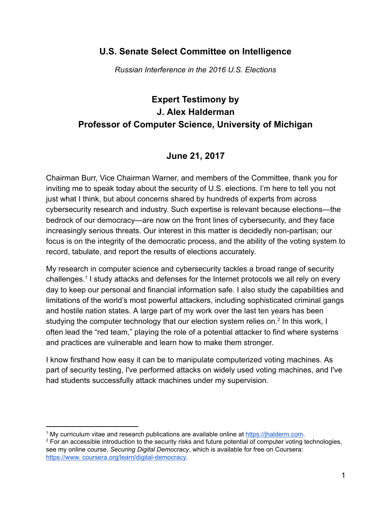#### U.S. Senate Select Committee on Intelligence

Russian Interference in the 2016 U.S. Elections

# Expert Testimony by J. Alex Halderman Professor of Computer Science, University of Michigan

### June 21, 2017

Chairman Burr, Vice Chairman Warner, and members of the Committee, thank you for inviting me to speak today about the security of U.S. elections. I'm here to tell you not just what I think, but about concerns shared by hundreds of experts from across cybersecurity research and industry. Such expertise is relevant because elections—the bedrock of our democracy—are now on the front lines of cybersecurity, and they face increasingly serious threats. Our interest in this matter is decidedly non-partisan; our focus is on the integrity of the democratic process, and the ability of the voting system to record, tabulate, and report the results of elections accurately.

My research in computer science and cybersecurity tackles a broad range of security challenges.<sup>1</sup> I study attacks and defenses for the Internet protocols we all rely on every day to keep our personal and financial information safe. I also study the capabilities and limitations of the world's most powerful attackers, including sophisticated criminal gangs and hostile nation states. A large part of my work over the last ten years has been studying the computer technology that our election system relies on.<sup>2</sup> In this work, I often lead the "red team," playing the role of a potential attacker to find where systems and practices are vulnerable and learn how to make them stronger.

I know firsthand how easy it can be to manipulate computerized voting machines. As part of security testing, I've performed attacks on widely used voting machines, and I've had students successfully attack machines under my supervision.

 $1$  My curriculum vitae and research publications are available online at https://ihalderm.com.

 $2$  For an accessible introduction to the security risks and future potential of computer voting technologies, see my online course, Securing Digital Democracy, which is available for free on Coursera: https://www. [coursera.org/learn/digital-democracy.](https://www.coursera.org/learn/digital-democracy)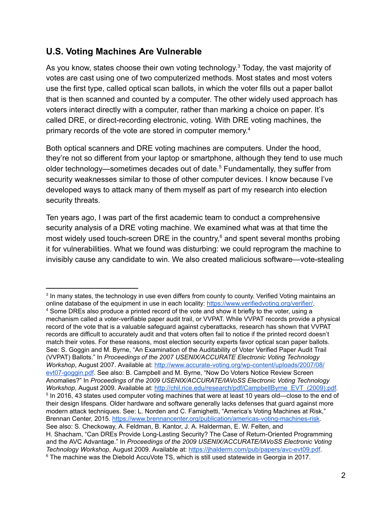### U.S. Voting Machines Are Vulnerable

As you know, states choose their own voting technology. $^3$  Today, the vast majority of votes are cast using one of two computerized methods. Most states and most voters use the first type, called optical scan ballots, in which the voter fills out a paper ballot that is then scanned and counted by a computer. The other widely used approach has voters interact directly with a computer, rather than marking a choice on paper. It's called DRE, or direct-recording electronic, voting. With DRE voting machines, the primary records of the vote are stored in computer memory.<sup>4</sup>

Both optical scanners and DRE voting machines are computers. Under the hood, they're not so different from your laptop or smartphone, although they tend to use much older technology—sometimes decades out of date. <sup>5</sup> Fundamentally, they suffer from security weaknesses similar to those of other computer devices. I know because I've developed ways to attack many of them myself as part of my research into election security threats.

Ten years ago, I was part of the first academic team to conduct a comprehensive security analysis of a DRE voting machine. We examined what was at that time the most widely used touch-screen DRE in the country, $6$  and spent several months probing it for vulnerabilities. What we found was disturbing: we could reprogram the machine to invisibly cause any candidate to win. We also created malicious software—vote-stealing

 $^{\rm 3}$  In many states, the technology in use even differs from county to county. Verified Voting maintains an online database of the equipment in use in each locality: [https://www.verifiedvoting.org/verifier/.](https://www.verifiedvoting.org/verifier/) <sup>4</sup> Some DREs also produce a printed record of the vote and show it briefly to the voter, using a mechanism called a voter-verifiable paper audit trail, or VVPAT. While VVPAT records provide a physical record of the vote that is a valuable safeguard against cyberattacks, research has shown that VVPAT records are difficult to accurately audit and that voters often fail to notice if the printed record doesn't match their votes. For these reasons, most election security experts favor optical scan paper ballots. See: S. Goggin and M. Byrne, "An Examination of the Auditability of Voter Verified Paper Audit Trail (VVPAT) Ballots." In Proceedings of the 2007 USENIX/ACCURATE Electronic Voting Technology Workshop, August 2007. Available at: [http://www.accurate-voting.org/wp-content/uploads/2007/08/](http://www.accurate-voting.org/wp-content/uploads/2007/08/evt07-goggin.pdf) [evt07-goggin.pdf](http://www.accurate-voting.org/wp-content/uploads/2007/08/evt07-goggin.pdf). See also: B. Campbell and M. Byrne, "Now Do Voters Notice Review Screen Anomalies?" In Proceedings of the 2009 USENIX/ACCURATE/IAVoSS Electronic Voting Technology Workshop, August 2009. Available at: [http://chil.rice.edu/research/pdf/CampbellByrne\\_EVT\\_\(2009\).pdf](http://chil.rice.edu/research/pdf/CampbellByrne_EVT_(2009).pdf).  $^{\rm 5}$  In 2016, 43 states used computer voting machines that were at least 10 years old—close to the end of their design lifespans. Older hardware and software generally lacks defenses that guard against more modern attack techniques. See: L. Norden and C. Famighetti, "America's Voting Machines at Risk," Brennan Center, 2015. [https://www.brennancenter.org/publication/americas-voting-machines-risk.](https://www.brennancenter.org/publication/americas-voting-machines-risk) See also: S. Checkoway, A. Feldman, B. Kantor, J. A. Halderman, E. W. Felten, and H. Shacham, "Can DREs Provide Long-Lasting Security? The Case of Return-Oriented Programming and the AVC Advantage." In Proceedings of the 2009 USENIX/ACCURATE/IAVoSS Electronic Voting Technology Workshop, August 2009. Available at: <https://jhalderm.com/pub/papers/avc-evt09.pdf>. <sup>6</sup> The machine was the Diebold AccuVote TS, which is still used statewide in Georgia in 2017.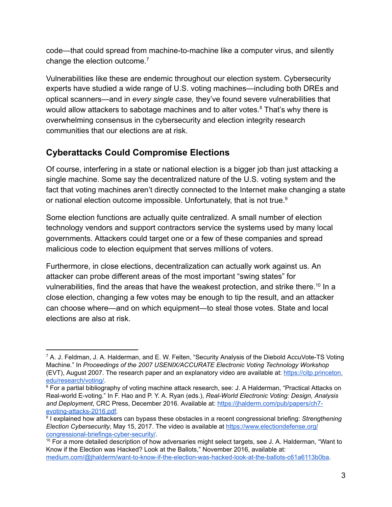code—that could spread from machine-to-machine like a computer virus, and silently change the election outcome. $<sup>7</sup>$ </sup>

Vulnerabilities like these are endemic throughout our election system. Cybersecurity experts have studied a wide range of U.S. voting machines—including both DREs and optical scanners—and in every single case, they've found severe vulnerabilities that would allow attackers to sabotage machines and to alter votes. ${}^{8}$  That's why there is overwhelming consensus in the cybersecurity and election integrity research communities that our elections are at risk.

## Cyberattacks Could Compromise Elections

Of course, interfering in a state or national election is a bigger job than just attacking a single machine. Some say the decentralized nature of the U.S. voting system and the fact that voting machines aren't directly connected to the Internet make changing a state or national election outcome impossible. Unfortunately, that is not true. 9

Some election functions are actually quite centralized. A small number of election technology vendors and support contractors service the systems used by many local governments. Attackers could target one or a few of these companies and spread malicious code to election equipment that serves millions of voters.

Furthermore, in close elections, decentralization can actually work against us. An attacker can probe different areas of the most important "swing states" for vulnerabilities, find the areas that have the weakest protection, and strike there. $^{\rm 10}$  In a close election, changing a few votes may be enough to tip the result, and an attacker can choose where—and on which equipment—to steal those votes. State and local elections are also at risk.

 $7$  A. J. Feldman, J. A. Halderman, and E. W. Felten, "Security Analysis of the Diebold AccuVote-TS Voting Machine." In Proceedings of the 2007 USENIX/ACCURATE Electronic Voting Technology Workshop (EVT), August 2007. The research paper and an explanatory video are available at: [https://citp.princeton.](https://citp.princeton.edu/research/voting/) [edu/research/voting/.](https://citp.princeton.edu/research/voting/)

<sup>&</sup>lt;sup>8</sup> For a partial bibliography of voting machine attack research, see: J. A Halderman, "Practical Attacks on Real-world E-voting." In F. Hao and P. Y. A. Ryan (eds.), Real-World Electronic Voting: Design, Analysis and Deployment, CRC Press, December 2016. Available at: [https://jhalderm.com/pub/papers/ch7](https://jhalderm.com/pub/papers/ch7-evoting-attacks-2016.pdf) [evoting-attacks-2016.pdf.](https://jhalderm.com/pub/papers/ch7-evoting-attacks-2016.pdf)

<sup>&</sup>lt;sup>9</sup> I explained how attackers can bypass these obstacles in a recent congressional briefing: *Strengthening* Election Cybersecurity, May 15, 2017. The video is available at [https://www.electiondefense.org/](https://www.electiondefense.org/congressional-briefings-cyber-security/) [congressional-briefings-cyber-security/](https://www.electiondefense.org/congressional-briefings-cyber-security/).

 $10$  For a more detailed description of how adversaries might select targets, see J. A. Halderman, "Want to Know if the Election was Hacked? Look at the Ballots," November 2016, available at: [medium.com/@jhalderm/want-to-know-if-the-election-was-hacked-look-at-the-ballots-c61a6113b0ba](https://medium.com/@jhalderm/want-to-know-if-the-election-was-hacked-look-at-the-ballots-c61a6113b0ba).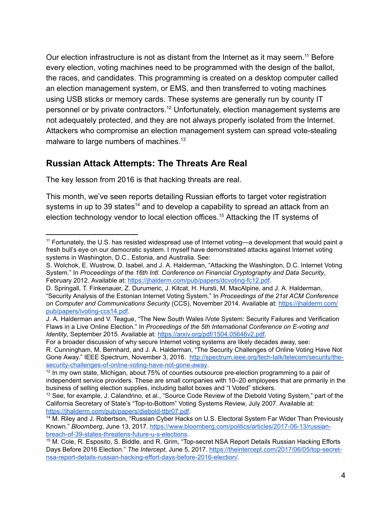Our election infrastructure is not as distant from the Internet as it may seem.<sup>11</sup> Before every election, voting machines need to be programmed with the design of the ballot, the races, and candidates. This programming is created on a desktop computer called an election management system, or EMS, and then transferred to voting machines using USB sticks or memory cards. These systems are generally run by county IT personnel or by private contractors.<sup>12</sup> Unfortunately, election management systems are not adequately protected, and they are not always properly isolated from the Internet. Attackers who compromise an election management system can spread vote-stealing malware to large numbers of machines. 13

#### Russian Attack Attempts: The Threats Are Real

The key lesson from 2016 is that hacking threats are real.

This month, we've seen reports detailing Russian efforts to target voter registration systems in up to 39 states $^{14}$  and to develop a capability to spread an attack from an election technology vendor to local election offices. $^{15}$  Attacking the IT systems of

For a broader discussion of why secure Internet voting systems are likely decades away, see:

<sup>11</sup> Fortunately, the U.S. has resisted widespread use of Internet voting—a development that would paint a fresh bull's eye on our democratic system. I myself have demonstrated attacks against Internet voting systems in Washington, D.C., Estonia, and Australia. See:

S. Wolchok, E. Wustrow, D. Isabel, and J. A. Halderman, "Attacking the Washington, D.C. Internet Voting System." In Proceedings of the 16th Intl. Conference on Financial Cryptography and Data Security, February 2012. Available at: [https://jhalderm.com/pub/papers/dcvoting-fc12.pdf.](https://jhalderm.com/pub/papers/dcvoting-fc12.pdf)

D. Springall, T. Finkenauer, Z. Durumeric, J. Kitcat, H. Hursti, M. MacAlpine, and J. A. Halderman, "Security Analysis of the Estonian Internet Voting System." In Proceedings of the 21st ACM Conference on Computer and Communications Security (CCS), November 2014. Available at: [https://jhalderm.com/](https://jhalderm.com/pub/papers/ivoting-ccs14.pdf) [pub/papers/ivoting-ccs14.pdf.](https://jhalderm.com/pub/papers/ivoting-ccs14.pdf)

J. A. Halderman and V. Teague, "The New South Wales iVote System: Security Failures and Verification Flaws in a Live Online Election." In Proceedings of the 5th International Conference on E-voting and Identity, September 2015. Available at: <https://arxiv.org/pdf/1504.05646v2.pdf>.

R. Cunningham, M. Bernhard, and J. A. Halderman, "The Security Challenges of Online Voting Have Not Gone Away." IEEE Spectrum, November 3, 2016. [http://spectrum.ieee.org/tech-talk/telecom/security/the](http://spectrum.ieee.org/tech-talk/telecom/security/the-security-challenges-of-online-voting-have-not-gone-away)[security-challenges-of-online-voting-have-not-gone-away.](http://spectrum.ieee.org/tech-talk/telecom/security/the-security-challenges-of-online-voting-have-not-gone-away)

 $^{12}$  In my own state, Michigan, about 75% of counties outsource pre-election programming to a pair of independent service providers. These are small companies with 10–20 employees that are primarily in the business of selling election supplies, including ballot boxes and "I Voted" stickers.

<sup>&</sup>lt;sup>13</sup> See, for example, J. Calandrino, et al., "Source Code Review of the Diebold Voting System," part of the California Secretary of State's "Top-to-Bottom" Voting Systems Review, July 2007. Available at: [https://jhalderm.com/pub/papers/diebold-ttbr07.pdf.](https://jhalderm.com/pub/papers/diebold-ttbr07.pdf)

<sup>&</sup>lt;sup>14</sup> M. Riley and J. Robertson, "Russian Cyber Hacks on U.S. Electoral System Far Wider Than Previously Known." Bloomberg, June 13, 2017. [https://www.bloomberg.com/politics/articles/2017-06-13/russian](https://www.bloomberg.com/politics/articles/2017-06-13/russian-breach-of-39-states-threatens-future-u-s-elections)[breach-of-39-states-threatens-future-u-s-elections](https://www.bloomberg.com/politics/articles/2017-06-13/russian-breach-of-39-states-threatens-future-u-s-elections).

<sup>15</sup> M. Cole, R. Esposito, S. Biddle, and R. Grim, "Top-secret NSA Report Details Russian Hacking Efforts Days Before 2016 Election." The Intercept, June 5, 2017. [https://theintercept.com/2017/06/05/top-secret](https://theintercept.com/2017/06/05/top-secret-nsa-report-details-russian-hacking-effort-days-before-2016-election/)[nsa-report-details-russian-hacking-effort-days-before-2016-election/](https://theintercept.com/2017/06/05/top-secret-nsa-report-details-russian-hacking-effort-days-before-2016-election/).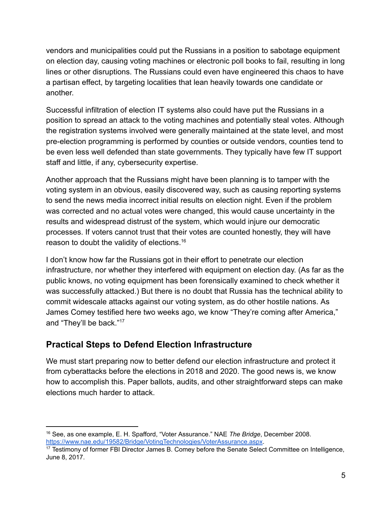vendors and municipalities could put the Russians in a position to sabotage equipment on election day, causing voting machines or electronic poll books to fail, resulting in long lines or other disruptions. The Russians could even have engineered this chaos to have a partisan effect, by targeting localities that lean heavily towards one candidate or another.

Successful infiltration of election IT systems also could have put the Russians in a position to spread an attack to the voting machines and potentially steal votes. Although the registration systems involved were generally maintained at the state level, and most pre-election programming is performed by counties or outside vendors, counties tend to be even less well defended than state governments. They typically have few IT support staff and little, if any, cybersecurity expertise.

Another approach that the Russians might have been planning is to tamper with the voting system in an obvious, easily discovered way, such as causing reporting systems to send the news media incorrect initial results on election night. Even if the problem was corrected and no actual votes were changed, this would cause uncertainty in the results and widespread distrust of the system, which would injure our democratic processes. If voters cannot trust that their votes are counted honestly, they will have reason to doubt the validity of elections. 16

I don't know how far the Russians got in their effort to penetrate our election infrastructure, nor whether they interfered with equipment on election day. (As far as the public knows, no voting equipment has been forensically examined to check whether it was successfully attacked.) But there is no doubt that Russia has the technical ability to commit widescale attacks against our voting system, as do other hostile nations. As James Comey testified here two weeks ago, we know "They're coming after America," and "They'll be back." 17

### Practical Steps to Defend Election Infrastructure

We must start preparing now to better defend our election infrastructure and protect it from cyberattacks before the elections in 2018 and 2020. The good news is, we know how to accomplish this. Paper ballots, audits, and other straightforward steps can make elections much harder to attack.

<sup>&</sup>lt;sup>16</sup> See, as one example, E. H. Spafford, "Voter Assurance." NAE The Bridge, December 2008. <https://www.nae.edu/19582/Bridge/VotingTechnologies/VoterAssurance.aspx>.

<sup>&</sup>lt;sup>17</sup> Testimony of former FBI Director James B. Comey before the Senate Select Committee on Intelligence, June 8, 2017.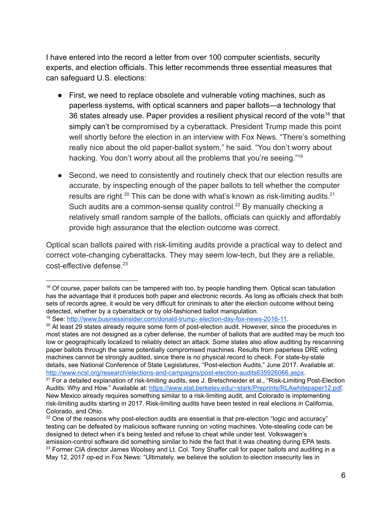I have entered into the record a letter from over 100 computer scientists, security experts, and election officials. This letter recommends three essential measures that can safeguard U.S. elections:

- First, we need to replace obsolete and vulnerable voting machines, such as paperless systems, with optical scanners and paper ballots—a technology that 36 states already use. Paper provides a resilient physical record of the vote<sup>18</sup> that simply can't be compromised by a cyberattack. President Trump made this point well shortly before the election in an interview with Fox News. "There's something really nice about the old paper-ballot system," he said. "You don't worry about hacking. You don't worry about all the problems that you're seeing."<sup>19</sup>
- Second, we need to consistently and routinely check that our election results are accurate, by inspecting enough of the paper ballots to tell whether the computer results are right. $^{20}$  This can be done with what's known as risk-limiting audits. $^{21}$ Such audits are a common-sense quality control.<sup>22</sup> By manually checking a relatively small random sample of the ballots, officials can quickly and affordably provide high assurance that the election outcome was correct.

Optical scan ballots paired with risk-limiting audits provide a practical way to detect and correct vote-changing cyberattacks. They may seem low-tech, but they are a reliable, cost-effective defense. 23

 $18$  Of course, paper ballots can be tampered with too, by people handling them. Optical scan tabulation has the advantage that it produces both paper and electronic records. As long as officials check that both sets of records agree, it would be very difficult for criminals to alter the election outcome without being detected, whether by a cyberattack or by old-fashioned ballot manipulation.

<sup>19</sup> See: [http://www.businessinsider.com/donald-trump-](http://www.businessinsider.com/donald-trump-election-day-fox-news-2016-11) election-day-fox-news-2016-11.

 $20$  At least 29 states already require some form of post-election audit. However, since the procedures in most states are not designed as a cyber defense, the number of ballots that are audited may be much too low or geographically localized to reliably detect an attack. Some states also allow auditing by rescanning paper ballots through the same potentially compromised machines. Results from paperless DRE voting machines cannot be strongly audited, since there is no physical record to check. For state-by-state details, see National Conference of State Legislatures, "Post-election Audits," June 2017. Available at: [http://www.ncsl.org/research/elections-and-campaigns/post-election-audits635926066.aspx.](http://www.ncsl.org/research/elections-and-campaigns/post-election-audits635926066.aspx)

 $21$  For a detailed explanation of risk-limiting audits, see J. Bretschneider et al., "Risk-Limiting Post-Election Audits: Why and How." Available at: <https://www.stat.berkeley.edu/~stark/Preprints/RLAwhitepaper12.pdf>. New Mexico already requires something similar to a risk-limiting audit, and Colorado is implementing risk-limiting audits starting in 2017. Risk-limiting audits have been tested in real elections in California, Colorado, and Ohio.

 $22$  One of the reasons why post-election audits are essential is that pre-election "logic and accuracy" testing can be defeated by malicious software running on voting machines. Vote-stealing code can be designed to detect when it's being tested and refuse to cheat while under test. Volkswagen's emission-control software did something similar to hide the fact that it was cheating during EPA tests. <sup>23</sup> Former CIA director James Woolsey and Lt. Col. Tony Shaffer call for paper ballots and auditing in a May 12, 2017 op-ed in Fox News: "Ultimately, we believe the solution to election insecurity lies in